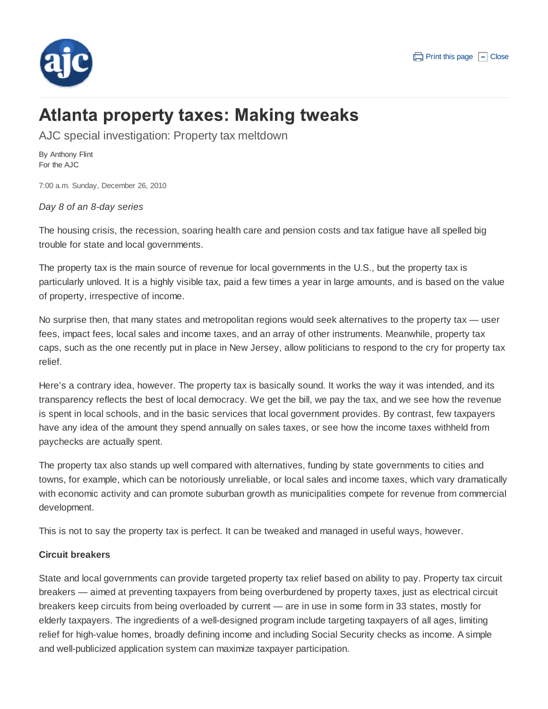

# **Atlanta property taxes: Making tweaks**

AJC special investigation: Property tax meltdown

By Anthony Flint For the AJC

7:00 a.m. Sunday, December 26, 2010

*Day 8 of an 8-day series*

The housing crisis, the recession, soaring health care and pension costs and tax fatigue have all spelled big trouble for state and local governments.

The property tax is the main source of revenue for local governments in the U.S., but the property tax is particularly unloved. It is a highly visible tax, paid a few times a year in large amounts, and is based on the value of property, irrespective of income.

No surprise then, that many states and metropolitan regions would seek alternatives to the property tax — user fees, impact fees, local sales and income taxes, and an array of other instruments. Meanwhile, property tax caps, such as the one recently put in place in New Jersey, allow politicians to respond to the cry for property tax relief.

Here's a contrary idea, however. The property tax is basically sound. It works the way it was intended, and its transparency reflects the best of local democracy. We get the bill, we pay the tax, and we see how the revenue is spent in local schools, and in the basic services that local government provides. By contrast, few taxpayers have any idea of the amount they spend annually on sales taxes, or see how the income taxes withheld from paychecks are actually spent.

The property tax also stands up well compared with alternatives, funding by state governments to cities and towns, for example, which can be notoriously unreliable, or local sales and income taxes, which vary dramatically with economic activity and can promote suburban growth as municipalities compete for revenue from commercial development.

This is not to say the property tax is perfect. It can be tweaked and managed in useful ways, however.

# **Circuit breakers**

State and local governments can provide targeted property tax relief based on ability to pay. Property tax circuit breakers — aimed at preventing taxpayers from being overburdened by property taxes, just as electrical circuit breakers keep circuits from being overloaded by current — are in use in some form in 33 states, mostly for elderly taxpayers. The ingredients of a well-designed program include targeting taxpayers of all ages, limiting relief for high-value homes, broadly defining income and including Social Security checks as income. A simple and well-publicized application system can maximize taxpayer participation.